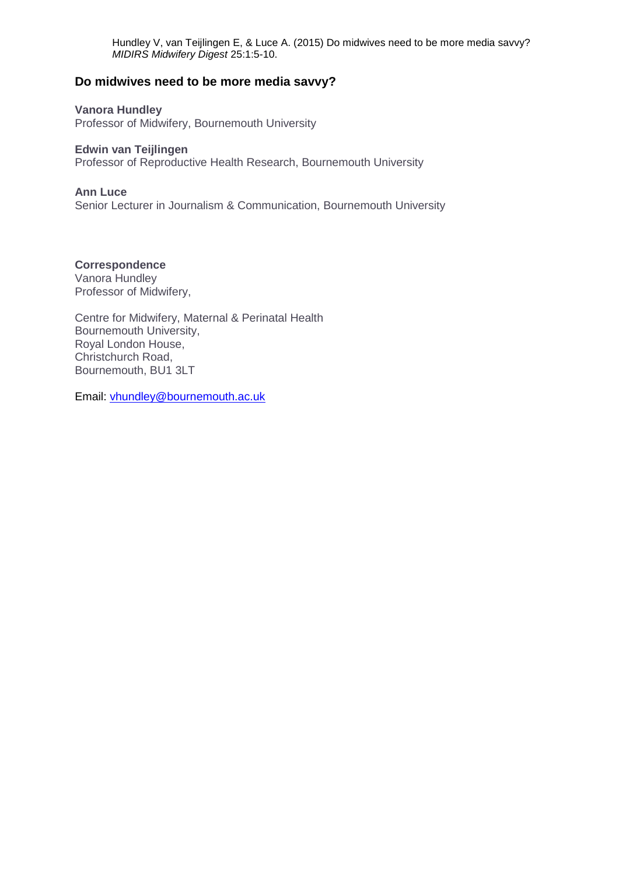# **Do midwives need to be more media savvy?**

**Vanora Hundley**

Professor of Midwifery, Bournemouth University

#### **Edwin van Teijlingen**

Professor of Reproductive Health Research, Bournemouth University

#### **Ann Luce**

Senior Lecturer in Journalism & Communication, Bournemouth University

# **Correspondence**

Vanora Hundley Professor of Midwifery,

Centre for Midwifery, Maternal & Perinatal Health Bournemouth University, Royal London House, Christchurch Road, Bournemouth, BU1 3LT

Email: [vhundley@bournemouth.ac.uk](mailto:vhundley@bournemouth.ac.uk)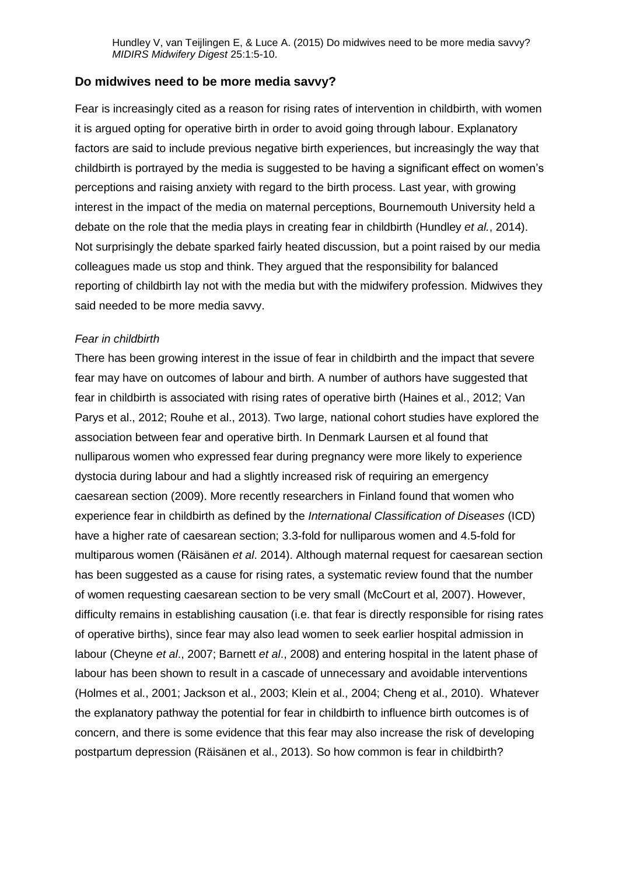## **Do midwives need to be more media savvy?**

Fear is increasingly cited as a reason for rising rates of intervention in childbirth, with women it is argued opting for operative birth in order to avoid going through labour. Explanatory factors are said to include previous negative birth experiences, but increasingly the way that childbirth is portrayed by the media is suggested to be having a significant effect on women's perceptions and raising anxiety with regard to the birth process. Last year, with growing interest in the impact of the media on maternal perceptions, Bournemouth University held a debate on the role that the media plays in creating fear in childbirth (Hundley *et al.*, 2014). Not surprisingly the debate sparked fairly heated discussion, but a point raised by our media colleagues made us stop and think. They argued that the responsibility for balanced reporting of childbirth lay not with the media but with the midwifery profession. Midwives they said needed to be more media savvy.

#### *Fear in childbirth*

There has been growing interest in the issue of fear in childbirth and the impact that severe fear may have on outcomes of labour and birth. A number of authors have suggested that fear in childbirth is associated with rising rates of operative birth (Haines et al., 2012; Van Parys et al., 2012; Rouhe et al., 2013). Two large, national cohort studies have explored the association between fear and operative birth. In Denmark Laursen et al found that nulliparous women who expressed fear during pregnancy were more likely to experience dystocia during labour and had a slightly increased risk of requiring an emergency caesarean section (2009). More recently researchers in Finland found that women who experience fear in childbirth as defined by the *International Classification of Diseases* (ICD) have a higher rate of caesarean section; 3.3-fold for nulliparous women and 4.5-fold for multiparous women (Räisänen *et al*. 2014). Although maternal request for caesarean section has been suggested as a cause for rising rates, a systematic review found that the number of women requesting caesarean section to be very small (McCourt et al, 2007). However, difficulty remains in establishing causation (i.e. that fear is directly responsible for rising rates of operative births), since fear may also lead women to seek earlier hospital admission in labour (Cheyne *et al*., 2007; Barnett *et al*., 2008) and entering hospital in the latent phase of labour has been shown to result in a cascade of unnecessary and avoidable interventions (Holmes et al., 2001; Jackson et al., 2003; Klein et al., 2004; Cheng et al., 2010). Whatever the explanatory pathway the potential for fear in childbirth to influence birth outcomes is of concern, and there is some evidence that this fear may also increase the risk of developing postpartum depression (Räisänen et al., 2013). So how common is fear in childbirth?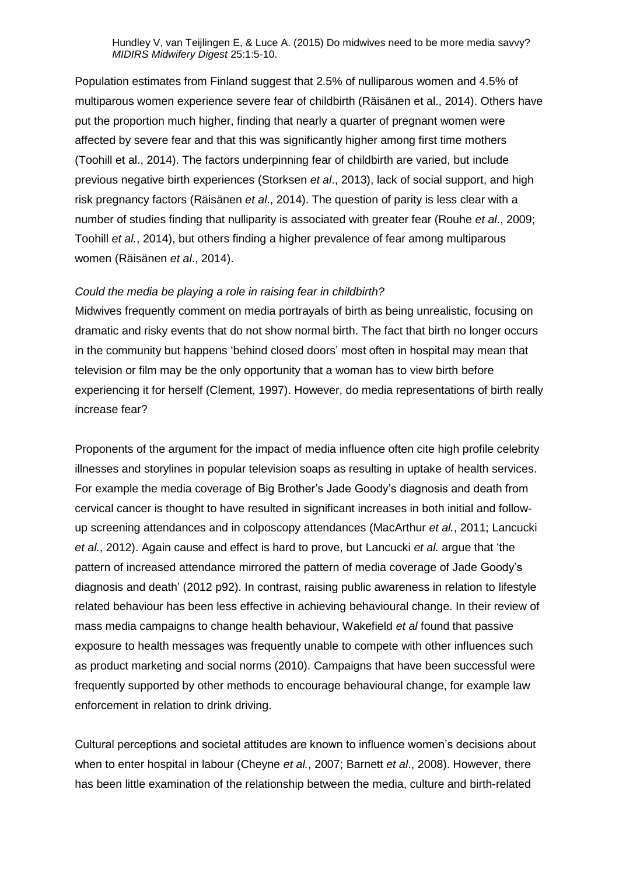Population estimates from Finland suggest that 2.5% of nulliparous women and 4.5% of multiparous women experience severe fear of childbirth (Räisänen et al., 2014). Others have put the proportion much higher, finding that nearly a quarter of pregnant women were affected by severe fear and that this was significantly higher among first time mothers (Toohill et al., 2014). The factors underpinning fear of childbirth are varied, but include previous negative birth experiences (Storksen *et al*., 2013), lack of social support, and high risk pregnancy factors (Räisänen *et al*., 2014). The question of parity is less clear with a number of studies finding that nulliparity is associated with greater fear (Rouhe *et al*., 2009; Toohill *et al.*, 2014), but others finding a higher prevalence of fear among multiparous women (Räisänen *et al*., 2014).

#### *Could the media be playing a role in raising fear in childbirth?*

Midwives frequently comment on media portrayals of birth as being unrealistic, focusing on dramatic and risky events that do not show normal birth. The fact that birth no longer occurs in the community but happens 'behind closed doors' most often in hospital may mean that television or film may be the only opportunity that a woman has to view birth before experiencing it for herself (Clement, 1997). However, do media representations of birth really increase fear?

Proponents of the argument for the impact of media influence often cite high profile celebrity illnesses and storylines in popular television soaps as resulting in uptake of health services. For example the media coverage of Big Brother's Jade Goody's diagnosis and death from cervical cancer is thought to have resulted in significant increases in both initial and followup screening attendances and in colposcopy attendances (MacArthur *et al.*, 2011; Lancucki *et al.*, 2012). Again cause and effect is hard to prove, but Lancucki *et al.* argue that 'the pattern of increased attendance mirrored the pattern of media coverage of Jade Goody's diagnosis and death' (2012 p92). In contrast, raising public awareness in relation to lifestyle related behaviour has been less effective in achieving behavioural change. In their review of mass media campaigns to change health behaviour, Wakefield *et al* found that passive exposure to health messages was frequently unable to compete with other influences such as product marketing and social norms (2010). Campaigns that have been successful were frequently supported by other methods to encourage behavioural change, for example law enforcement in relation to drink driving.

Cultural perceptions and societal attitudes are known to influence women's decisions about when to enter hospital in labour (Cheyne *et al.*, 2007; Barnett *et al*., 2008). However, there has been little examination of the relationship between the media, culture and birth-related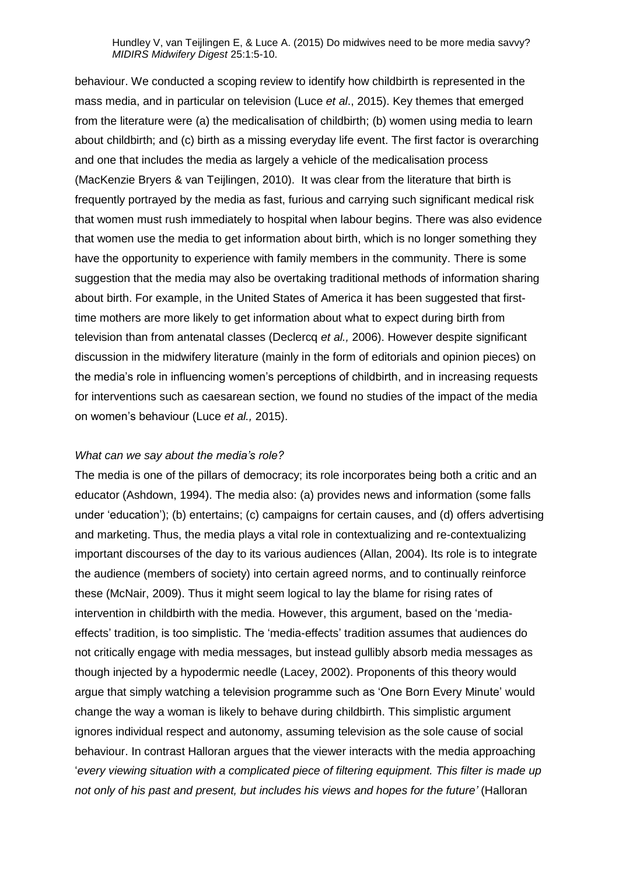behaviour. We conducted a scoping review to identify how childbirth is represented in the mass media, and in particular on television (Luce *et al*., 2015). Key themes that emerged from the literature were (a) the medicalisation of childbirth; (b) women using media to learn about childbirth; and (c) birth as a missing everyday life event. The first factor is overarching and one that includes the media as largely a vehicle of the medicalisation process (MacKenzie Bryers & van Teijlingen, 2010). It was clear from the literature that birth is frequently portrayed by the media as fast, furious and carrying such significant medical risk that women must rush immediately to hospital when labour begins. There was also evidence that women use the media to get information about birth, which is no longer something they have the opportunity to experience with family members in the community. There is some suggestion that the media may also be overtaking traditional methods of information sharing about birth. For example, in the United States of America it has been suggested that firsttime mothers are more likely to get information about what to expect during birth from television than from antenatal classes (Declercq *et al.,* 2006). However despite significant discussion in the midwifery literature (mainly in the form of editorials and opinion pieces) on the media's role in influencing women's perceptions of childbirth, and in increasing requests for interventions such as caesarean section, we found no studies of the impact of the media on women's behaviour (Luce *et al.,* 2015).

#### *What can we say about the media's role?*

The media is one of the pillars of democracy; its role incorporates being both a critic and an educator (Ashdown, 1994). The media also: (a) provides news and information (some falls under 'education'); (b) entertains; (c) campaigns for certain causes, and (d) offers advertising and marketing. Thus, the media plays a vital role in contextualizing and re-contextualizing important discourses of the day to its various audiences (Allan, 2004). Its role is to integrate the audience (members of society) into certain agreed norms, and to continually reinforce these (McNair, 2009). Thus it might seem logical to lay the blame for rising rates of intervention in childbirth with the media. However, this argument, based on the 'mediaeffects' tradition, is too simplistic. The 'media-effects' tradition assumes that audiences do not critically engage with media messages, but instead gullibly absorb media messages as though injected by a hypodermic needle (Lacey, 2002). Proponents of this theory would argue that simply watching a television programme such as 'One Born Every Minute' would change the way a woman is likely to behave during childbirth. This simplistic argument ignores individual respect and autonomy, assuming television as the sole cause of social behaviour. In contrast Halloran argues that the viewer interacts with the media approaching '*every viewing situation with a complicated piece of filtering equipment. This filter is made up not only of his past and present, but includes his views and hopes for the future'* (Halloran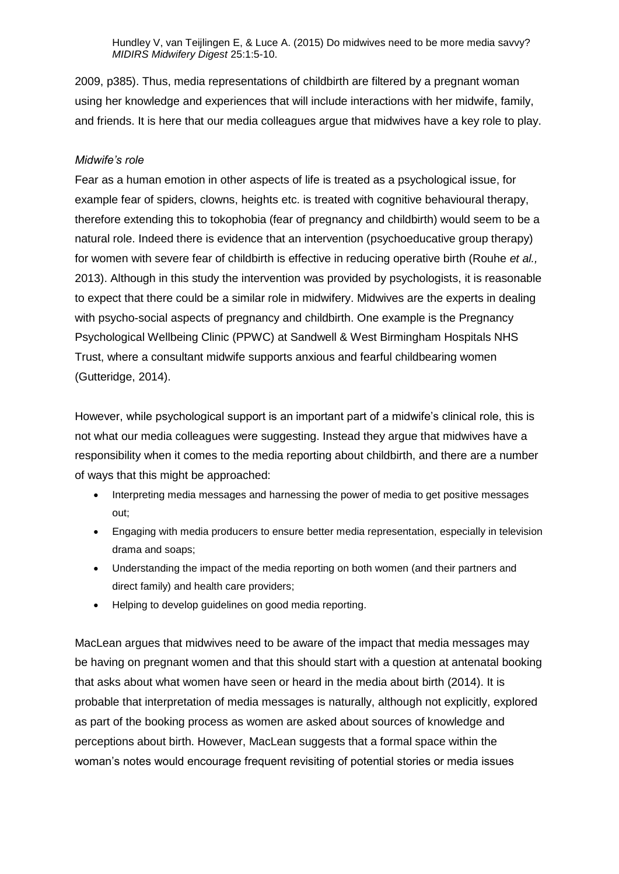2009, p385). Thus, media representations of childbirth are filtered by a pregnant woman using her knowledge and experiences that will include interactions with her midwife, family, and friends. It is here that our media colleagues argue that midwives have a key role to play.

## *Midwife's role*

Fear as a human emotion in other aspects of life is treated as a psychological issue, for example fear of spiders, clowns, heights etc. is treated with cognitive behavioural therapy, therefore extending this to tokophobia (fear of pregnancy and childbirth) would seem to be a natural role. Indeed there is evidence that an intervention (psychoeducative group therapy) for women with severe fear of childbirth is effective in reducing operative birth (Rouhe *et al.,* 2013). Although in this study the intervention was provided by psychologists, it is reasonable to expect that there could be a similar role in midwifery. Midwives are the experts in dealing with psycho-social aspects of pregnancy and childbirth. One example is the Pregnancy Psychological Wellbeing Clinic (PPWC) at Sandwell & West Birmingham Hospitals NHS Trust, where a consultant midwife supports anxious and fearful childbearing women (Gutteridge, 2014).

However, while psychological support is an important part of a midwife's clinical role, this is not what our media colleagues were suggesting. Instead they argue that midwives have a responsibility when it comes to the media reporting about childbirth, and there are a number of ways that this might be approached:

- Interpreting media messages and harnessing the power of media to get positive messages out;
- Engaging with media producers to ensure better media representation, especially in television drama and soaps;
- Understanding the impact of the media reporting on both women (and their partners and direct family) and health care providers;
- Helping to develop guidelines on good media reporting.

MacLean argues that midwives need to be aware of the impact that media messages may be having on pregnant women and that this should start with a question at antenatal booking that asks about what women have seen or heard in the media about birth (2014). It is probable that interpretation of media messages is naturally, although not explicitly, explored as part of the booking process as women are asked about sources of knowledge and perceptions about birth. However, MacLean suggests that a formal space within the woman's notes would encourage frequent revisiting of potential stories or media issues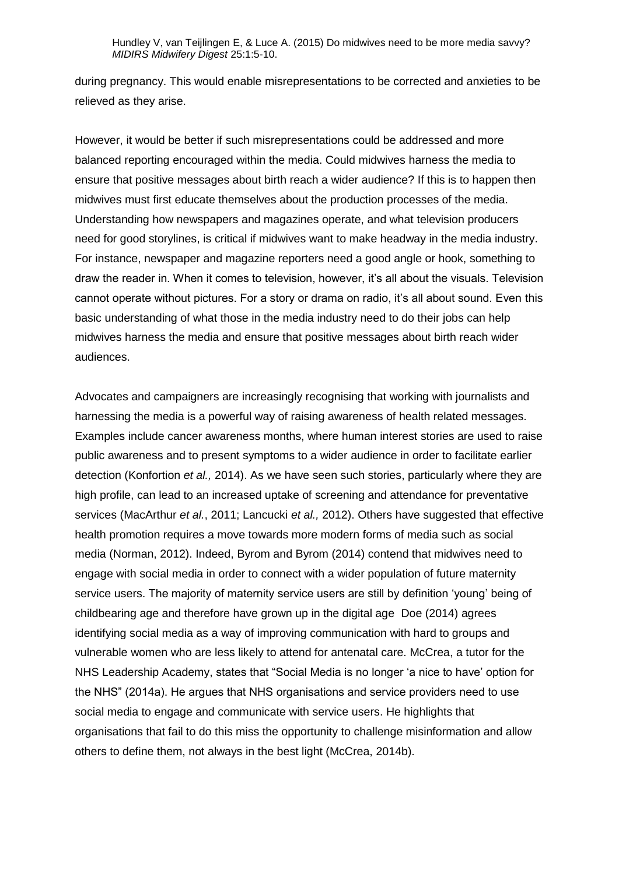during pregnancy. This would enable misrepresentations to be corrected and anxieties to be relieved as they arise.

However, it would be better if such misrepresentations could be addressed and more balanced reporting encouraged within the media. Could midwives harness the media to ensure that positive messages about birth reach a wider audience? If this is to happen then midwives must first educate themselves about the production processes of the media. Understanding how newspapers and magazines operate, and what television producers need for good storylines, is critical if midwives want to make headway in the media industry. For instance, newspaper and magazine reporters need a good angle or hook, something to draw the reader in. When it comes to television, however, it's all about the visuals. Television cannot operate without pictures. For a story or drama on radio, it's all about sound. Even this basic understanding of what those in the media industry need to do their jobs can help midwives harness the media and ensure that positive messages about birth reach wider audiences.

Advocates and campaigners are increasingly recognising that working with journalists and harnessing the media is a powerful way of raising awareness of health related messages. Examples include cancer awareness months, where human interest stories are used to raise public awareness and to present symptoms to a wider audience in order to facilitate earlier detection (Konfortion *et al.,* 2014). As we have seen such stories, particularly where they are high profile, can lead to an increased uptake of screening and attendance for preventative services (MacArthur *et al.*, 2011; Lancucki *et al.,* 2012). Others have suggested that effective health promotion requires a move towards more modern forms of media such as social media (Norman, 2012). Indeed, Byrom and Byrom (2014) contend that midwives need to engage with social media in order to connect with a wider population of future maternity service users. The majority of maternity service users are still by definition 'young' being of childbearing age and therefore have grown up in the digital age Doe (2014) agrees identifying social media as a way of improving communication with hard to groups and vulnerable women who are less likely to attend for antenatal care. McCrea, a tutor for the NHS Leadership Academy, states that "Social Media is no longer 'a nice to have' option for the NHS" (2014a). He argues that NHS organisations and service providers need to use social media to engage and communicate with service users. He highlights that organisations that fail to do this miss the opportunity to challenge misinformation and allow others to define them, not always in the best light (McCrea, 2014b).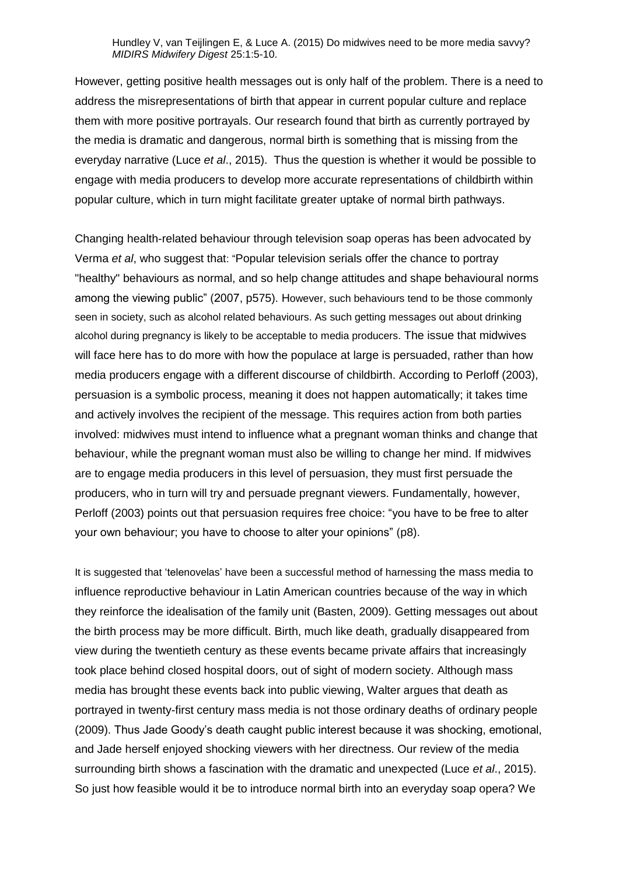However, getting positive health messages out is only half of the problem. There is a need to address the misrepresentations of birth that appear in current popular culture and replace them with more positive portrayals. Our research found that birth as currently portrayed by the media is dramatic and dangerous, normal birth is something that is missing from the everyday narrative (Luce *et al*., 2015). Thus the question is whether it would be possible to engage with media producers to develop more accurate representations of childbirth within popular culture, which in turn might facilitate greater uptake of normal birth pathways.

Changing health-related behaviour through television soap operas has been advocated by Verma *et al*, who suggest that: "Popular television serials offer the chance to portray "healthy" behaviours as normal, and so help change attitudes and shape behavioural norms among the viewing public" (2007, p575). However, such behaviours tend to be those commonly seen in society, such as alcohol related behaviours. As such getting messages out about drinking alcohol during pregnancy is likely to be acceptable to media producers. The issue that midwives will face here has to do more with how the populace at large is persuaded, rather than how media producers engage with a different discourse of childbirth. According to Perloff (2003), persuasion is a symbolic process, meaning it does not happen automatically; it takes time and actively involves the recipient of the message. This requires action from both parties involved: midwives must intend to influence what a pregnant woman thinks and change that behaviour, while the pregnant woman must also be willing to change her mind. If midwives are to engage media producers in this level of persuasion, they must first persuade the producers, who in turn will try and persuade pregnant viewers. Fundamentally, however, Perloff (2003) points out that persuasion requires free choice: "you have to be free to alter your own behaviour; you have to choose to alter your opinions" (p8).

It is suggested that 'telenovelas' have been a successful method of harnessing the mass media to influence reproductive behaviour in Latin American countries because of the way in which they reinforce the idealisation of the family unit (Basten, 2009). Getting messages out about the birth process may be more difficult. Birth, much like death, gradually disappeared from view during the twentieth century as these events became private affairs that increasingly took place behind closed hospital doors, out of sight of modern society. Although mass media has brought these events back into public viewing, Walter argues that death as portrayed in twenty-first century mass media is not those ordinary deaths of ordinary people (2009). Thus Jade Goody's death caught public interest because it was shocking, emotional, and Jade herself enjoyed shocking viewers with her directness. Our review of the media surrounding birth shows a fascination with the dramatic and unexpected (Luce *et al*., 2015). So just how feasible would it be to introduce normal birth into an everyday soap opera? We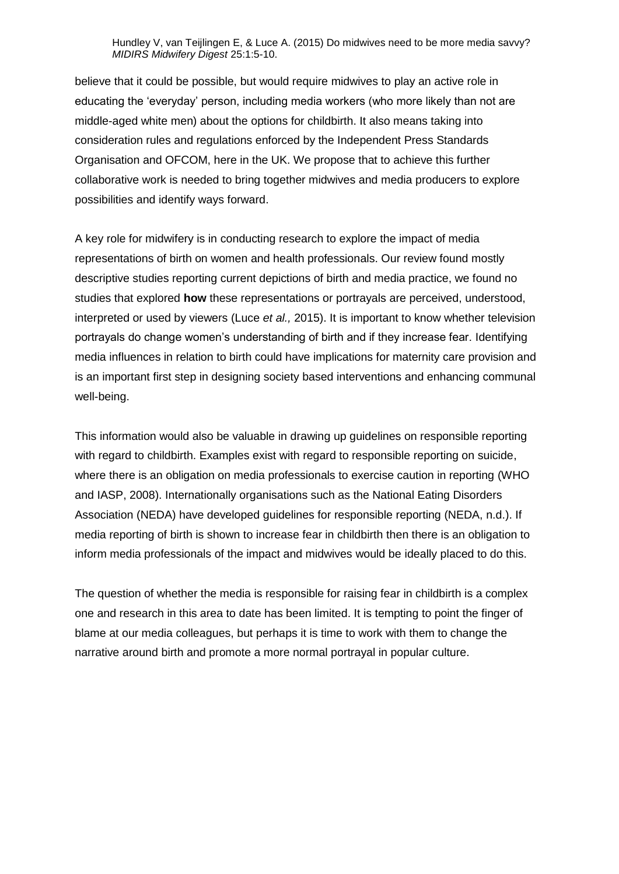believe that it could be possible, but would require midwives to play an active role in educating the 'everyday' person, including media workers (who more likely than not are middle-aged white men) about the options for childbirth. It also means taking into consideration rules and regulations enforced by the Independent Press Standards Organisation and OFCOM, here in the UK. We propose that to achieve this further collaborative work is needed to bring together midwives and media producers to explore possibilities and identify ways forward.

A key role for midwifery is in conducting research to explore the impact of media representations of birth on women and health professionals. Our review found mostly descriptive studies reporting current depictions of birth and media practice, we found no studies that explored **how** these representations or portrayals are perceived, understood, interpreted or used by viewers (Luce *et al.,* 2015). It is important to know whether television portrayals do change women's understanding of birth and if they increase fear. Identifying media influences in relation to birth could have implications for maternity care provision and is an important first step in designing society based interventions and enhancing communal well-being.

This information would also be valuable in drawing up guidelines on responsible reporting with regard to childbirth. Examples exist with regard to responsible reporting on suicide, where there is an obligation on media professionals to exercise caution in reporting (WHO and IASP, 2008). Internationally organisations such as the National Eating Disorders Association (NEDA) have developed guidelines for responsible reporting (NEDA, n.d.). If media reporting of birth is shown to increase fear in childbirth then there is an obligation to inform media professionals of the impact and midwives would be ideally placed to do this.

The question of whether the media is responsible for raising fear in childbirth is a complex one and research in this area to date has been limited. It is tempting to point the finger of blame at our media colleagues, but perhaps it is time to work with them to change the narrative around birth and promote a more normal portrayal in popular culture.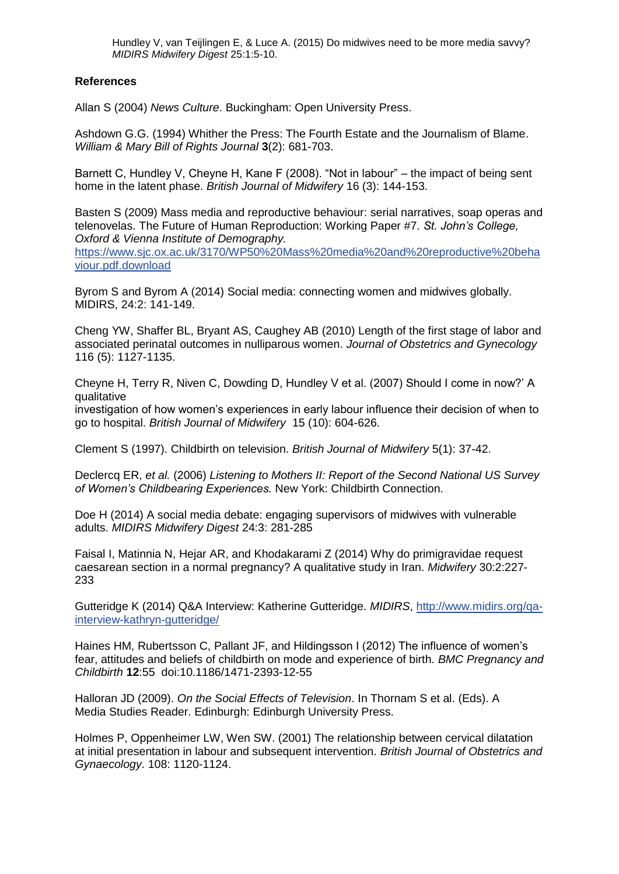# **References**

Allan S (2004) *News Culture*. Buckingham: Open University Press.

Ashdown G.G. (1994) Whither the Press: The Fourth Estate and the Journalism of Blame. *William & Mary Bill of Rights Journal* **3**(2): 681-703.

Barnett C, Hundley V, Cheyne H, Kane F (2008). "Not in labour" – the impact of being sent home in the latent phase. *British Journal of Midwifery* 16 (3): 144-153.

Basten S (2009) Mass media and reproductive behaviour: serial narratives, soap operas and telenovelas. The Future of Human Reproduction: Working Paper #7. *St. John's College, Oxford & Vienna Institute of Demography.* 

[https://www.sjc.ox.ac.uk/3170/WP50%20Mass%20media%20and%20reproductive%20beha](https://www.sjc.ox.ac.uk/3170/WP50%20Mass%20media%20and%20reproductive%20behaviour.pdf.download) [viour.pdf.download](https://www.sjc.ox.ac.uk/3170/WP50%20Mass%20media%20and%20reproductive%20behaviour.pdf.download)

Byrom S and Byrom A (2014) Social media: connecting women and midwives globally. MIDIRS, 24:2: 141-149.

Cheng YW, Shaffer BL, Bryant AS, Caughey AB (2010) Length of the first stage of labor and associated perinatal outcomes in nulliparous women. *Journal of Obstetrics and Gynecology* 116 (5): 1127-1135.

Cheyne H, Terry R, Niven C, Dowding D, Hundley V et al. (2007) Should I come in now?' A qualitative

investigation of how women's experiences in early labour influence their decision of when to go to hospital. *British Journal of Midwifery* 15 (10): 604-626.

Clement S (1997). Childbirth on television. *British Journal of Midwifery* 5(1): 37-42.

Declercq ER, *et al.* (2006) *Listening to Mothers II: Report of the Second National US Survey of Women's Childbearing Experiences.* New York: Childbirth Connection.

Doe H (2014) A social media debate: engaging supervisors of midwives with vulnerable adults. *MIDIRS Midwifery Digest* 24:3: 281-285

Faisal I, Matinnia N, Hejar AR, and Khodakarami Z (2014) Why do primigravidae request caesarean section in a normal pregnancy? A qualitative study in Iran. *Midwifery* 30:2:227- 233

Gutteridge K (2014) Q&A Interview: Katherine Gutteridge. *MIDIRS*, [http://www.midirs.org/qa](http://www.midirs.org/qa-interview-kathryn-gutteridge/)[interview-kathryn-gutteridge/](http://www.midirs.org/qa-interview-kathryn-gutteridge/)

Haines HM, Rubertsson C, Pallant JF, and Hildingsson I (2012) The influence of women's fear, attitudes and beliefs of childbirth on mode and experience of birth. *BMC Pregnancy and Childbirth* **12**:55 doi:10.1186/1471-2393-12-55

Halloran JD (2009). *On the Social Effects of Television*. In Thornam S et al. (Eds). A Media Studies Reader. Edinburgh: Edinburgh University Press.

Holmes P, Oppenheimer LW, Wen SW. (2001) The relationship between cervical dilatation at initial presentation in labour and subsequent intervention. *British Journal of Obstetrics and Gynaecology*. 108: 1120-1124.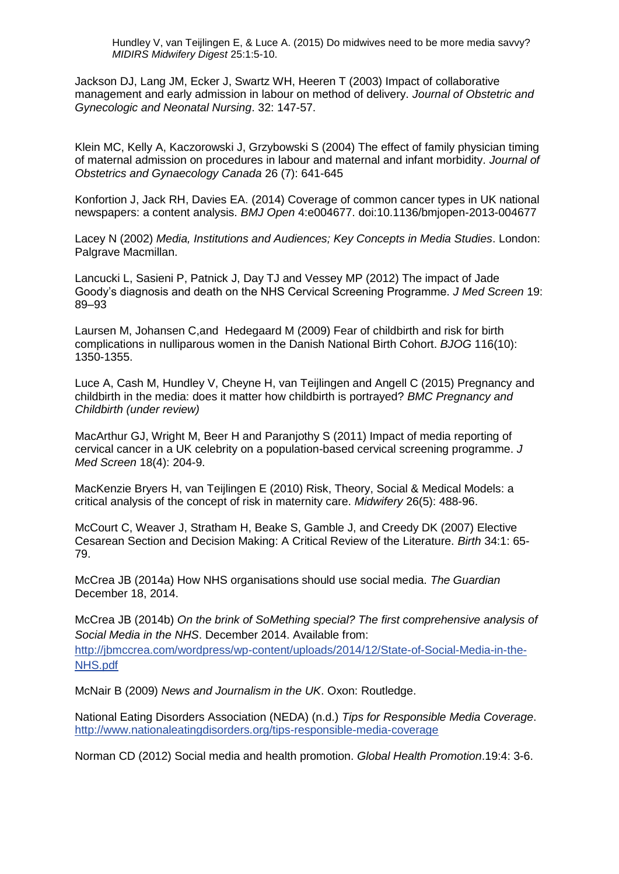Jackson DJ, Lang JM, Ecker J, Swartz WH, Heeren T (2003) Impact of collaborative management and early admission in labour on method of delivery. *Journal of Obstetric and Gynecologic and Neonatal Nursing*. 32: 147-57.

Klein MC, Kelly A, Kaczorowski J, Grzybowski S (2004) The effect of family physician timing of maternal admission on procedures in labour and maternal and infant morbidity. *Journal of Obstetrics and Gynaecology Canada* 26 (7): 641-645

Konfortion J, Jack RH, Davies EA. (2014) Coverage of common cancer types in UK national newspapers: a content analysis. *BMJ Open* 4:e004677. doi:10.1136/bmjopen-2013-004677

Lacey N (2002) *Media, Institutions and Audiences; Key Concepts in Media Studies*. London: Palgrave Macmillan.

Lancucki L, Sasieni P, Patnick J, Day TJ and Vessey MP (2012) The impact of Jade Goody's diagnosis and death on the NHS Cervical Screening Programme. *J Med Screen* 19: 89–93

Laursen M, Johansen C,and Hedegaard M (2009) Fear of childbirth and risk for birth complications in nulliparous women in the Danish National Birth Cohort. *BJOG* 116(10): 1350-1355.

Luce A, Cash M, Hundley V, Cheyne H, van Teijlingen and Angell C (2015) Pregnancy and childbirth in the media: does it matter how childbirth is portrayed? *BMC Pregnancy and Childbirth (under review)*

MacArthur GJ, Wright M, Beer H and Paranjothy S (2011) Impact of media reporting of cervical cancer in a UK celebrity on a population-based cervical screening programme. *J Med Screen* 18(4): 204-9.

MacKenzie Bryers H, van Teijlingen E (2010) Risk, Theory, Social & Medical Models: a critical analysis of the concept of risk in maternity care. *Midwifery* 26(5): 488-96.

McCourt C, Weaver J, Stratham H, Beake S, Gamble J, and Creedy DK (2007) Elective Cesarean Section and Decision Making: A Critical Review of the Literature. *Birth* 34:1: 65- 79.

McCrea JB (2014a) How NHS organisations should use social media. *The Guardian* December 18, 2014.

McCrea JB (2014b) *On the brink of SoMething special? The first comprehensive analysis of Social Media in the NHS*. December 2014. Available from: [http://jbmccrea.com/wordpress/wp-content/uploads/2014/12/State-of-Social-Media-in-the-](http://jbmccrea.com/wordpress/wp-content/uploads/2014/12/State-of-Social-Media-in-the-NHS.pdf)[NHS.pdf](http://jbmccrea.com/wordpress/wp-content/uploads/2014/12/State-of-Social-Media-in-the-NHS.pdf)

McNair B (2009) *News and Journalism in the UK*. Oxon: Routledge.

National Eating Disorders Association (NEDA) (n.d.) *Tips for Responsible Media Coverage*. <http://www.nationaleatingdisorders.org/tips-responsible-media-coverage>

Norman CD (2012) Social media and health promotion. *Global Health Promotion*.19:4: 3-6.